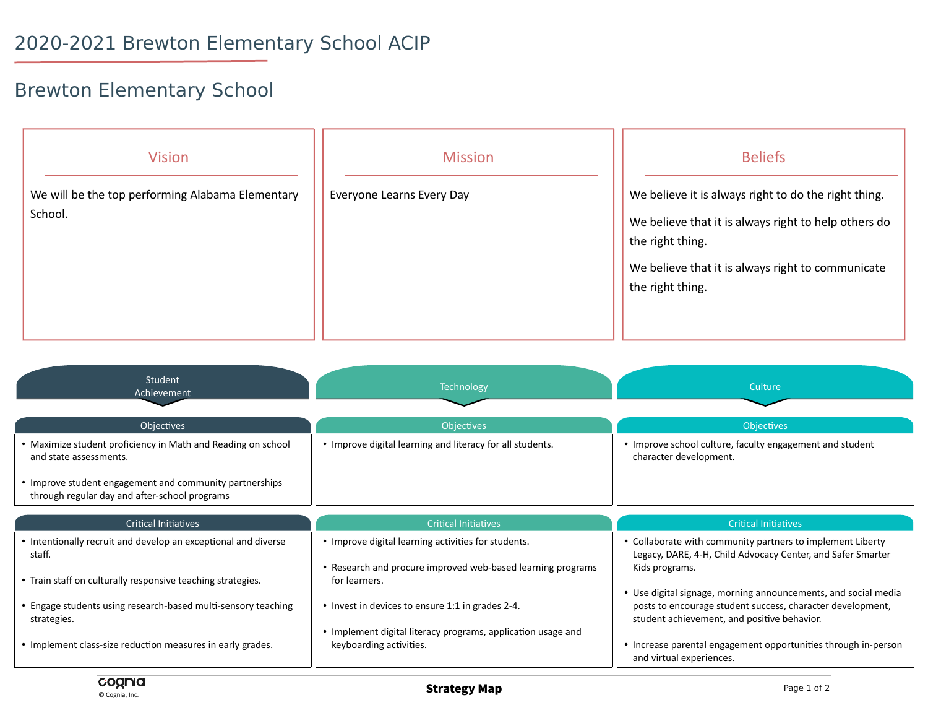## Brewton Elementary School

| <b>Vision</b><br>We will be the top performing Alabama Elementary<br>School. | <b>Mission</b><br>Everyone Learns Every Day | <b>Beliefs</b><br>We believe it is always right to do the right thing.<br>We believe that it is always right to help others do<br>the right thing.<br>We believe that it is always right to communicate<br>the right thing. |
|------------------------------------------------------------------------------|---------------------------------------------|-----------------------------------------------------------------------------------------------------------------------------------------------------------------------------------------------------------------------------|
|------------------------------------------------------------------------------|---------------------------------------------|-----------------------------------------------------------------------------------------------------------------------------------------------------------------------------------------------------------------------------|

| Student<br>Achievement                                                                                   | <b>Technology</b>                                                            | Culture                                                                                                                                                                     |
|----------------------------------------------------------------------------------------------------------|------------------------------------------------------------------------------|-----------------------------------------------------------------------------------------------------------------------------------------------------------------------------|
| Objectives                                                                                               | <b>Objectives</b>                                                            | <b>Objectives</b>                                                                                                                                                           |
| • Maximize student proficiency in Math and Reading on school<br>and state assessments.                   | • Improve digital learning and literacy for all students.                    | • Improve school culture, faculty engagement and student<br>character development.                                                                                          |
| • Improve student engagement and community partnerships<br>through regular day and after-school programs |                                                                              |                                                                                                                                                                             |
|                                                                                                          |                                                                              |                                                                                                                                                                             |
| <b>Critical Initiatives</b>                                                                              | <b>Critical Initiatives</b>                                                  | <b>Critical Initiatives</b>                                                                                                                                                 |
| • Intentionally recruit and develop an exceptional and diverse<br>staff.                                 | • Improve digital learning activities for students.                          | • Collaborate with community partners to implement Liberty<br>Legacy, DARE, 4-H, Child Advocacy Center, and Safer Smarter                                                   |
| • Train staff on culturally responsive teaching strategies.                                              | • Research and procure improved web-based learning programs<br>for learners. | Kids programs.                                                                                                                                                              |
| • Engage students using research-based multi-sensory teaching<br>strategies.                             | • Invest in devices to ensure 1:1 in grades 2-4.                             | • Use digital signage, morning announcements, and social media<br>posts to encourage student success, character development,<br>student achievement, and positive behavior. |